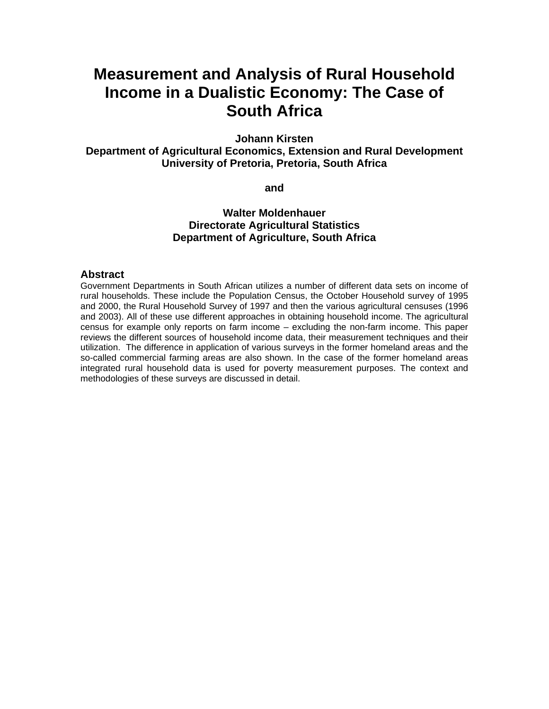# **Measurement and Analysis of Rural Household Income in a Dualistic Economy: The Case of South Africa**

**Johann Kirsten** 

**Department of Agricultural Economics, Extension and Rural Development University of Pretoria, Pretoria, South Africa** 

**and** 

## **Walter Moldenhauer Directorate Agricultural Statistics Department of Agriculture, South Africa**

#### **Abstract**

Government Departments in South African utilizes a number of different data sets on income of rural households. These include the Population Census, the October Household survey of 1995 and 2000, the Rural Household Survey of 1997 and then the various agricultural censuses (1996 and 2003). All of these use different approaches in obtaining household income. The agricultural census for example only reports on farm income – excluding the non-farm income. This paper reviews the different sources of household income data, their measurement techniques and their utilization. The difference in application of various surveys in the former homeland areas and the so-called commercial farming areas are also shown. In the case of the former homeland areas integrated rural household data is used for poverty measurement purposes. The context and methodologies of these surveys are discussed in detail.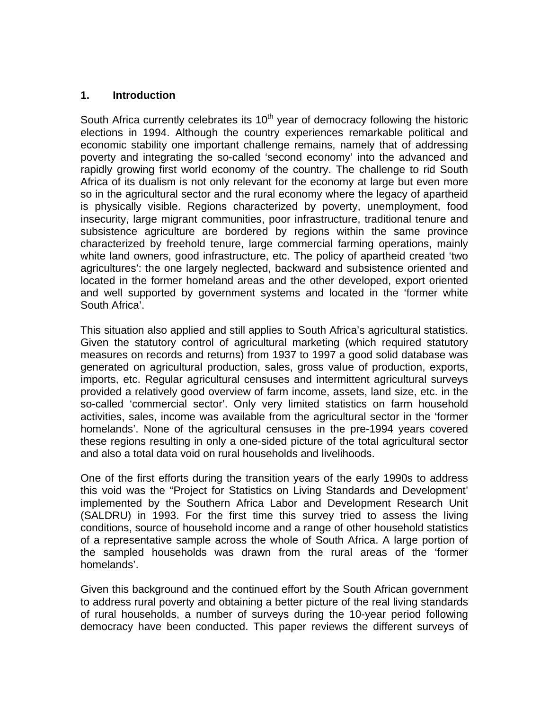## **1. Introduction**

South Africa currently celebrates its  $10<sup>th</sup>$  year of democracy following the historic elections in 1994. Although the country experiences remarkable political and economic stability one important challenge remains, namely that of addressing poverty and integrating the so-called 'second economy' into the advanced and rapidly growing first world economy of the country. The challenge to rid South Africa of its dualism is not only relevant for the economy at large but even more so in the agricultural sector and the rural economy where the legacy of apartheid is physically visible. Regions characterized by poverty, unemployment, food insecurity, large migrant communities, poor infrastructure, traditional tenure and subsistence agriculture are bordered by regions within the same province characterized by freehold tenure, large commercial farming operations, mainly white land owners, good infrastructure, etc. The policy of apartheid created 'two agricultures': the one largely neglected, backward and subsistence oriented and located in the former homeland areas and the other developed, export oriented and well supported by government systems and located in the 'former white South Africa'.

This situation also applied and still applies to South Africa's agricultural statistics. Given the statutory control of agricultural marketing (which required statutory measures on records and returns) from 1937 to 1997 a good solid database was generated on agricultural production, sales, gross value of production, exports, imports, etc. Regular agricultural censuses and intermittent agricultural surveys provided a relatively good overview of farm income, assets, land size, etc. in the so-called 'commercial sector'. Only very limited statistics on farm household activities, sales, income was available from the agricultural sector in the 'former homelands'. None of the agricultural censuses in the pre-1994 years covered these regions resulting in only a one-sided picture of the total agricultural sector and also a total data void on rural households and livelihoods.

One of the first efforts during the transition years of the early 1990s to address this void was the "Project for Statistics on Living Standards and Development' implemented by the Southern Africa Labor and Development Research Unit (SALDRU) in 1993. For the first time this survey tried to assess the living conditions, source of household income and a range of other household statistics of a representative sample across the whole of South Africa. A large portion of the sampled households was drawn from the rural areas of the 'former homelands'.

Given this background and the continued effort by the South African government to address rural poverty and obtaining a better picture of the real living standards of rural households, a number of surveys during the 10-year period following democracy have been conducted. This paper reviews the different surveys of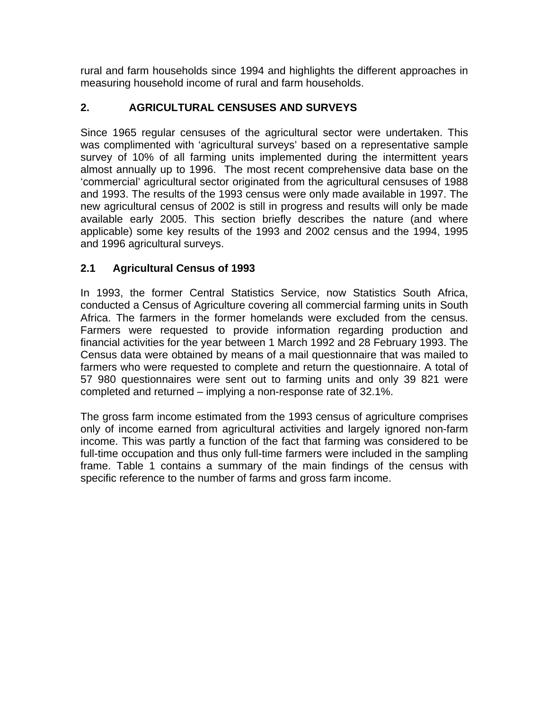rural and farm households since 1994 and highlights the different approaches in measuring household income of rural and farm households.

# **2. AGRICULTURAL CENSUSES AND SURVEYS**

Since 1965 regular censuses of the agricultural sector were undertaken. This was complimented with 'agricultural surveys' based on a representative sample survey of 10% of all farming units implemented during the intermittent years almost annually up to 1996. The most recent comprehensive data base on the 'commercial' agricultural sector originated from the agricultural censuses of 1988 and 1993. The results of the 1993 census were only made available in 1997. The new agricultural census of 2002 is still in progress and results will only be made available early 2005. This section briefly describes the nature (and where applicable) some key results of the 1993 and 2002 census and the 1994, 1995 and 1996 agricultural surveys.

# **2.1 Agricultural Census of 1993**

In 1993, the former Central Statistics Service, now Statistics South Africa, conducted a Census of Agriculture covering all commercial farming units in South Africa. The farmers in the former homelands were excluded from the census. Farmers were requested to provide information regarding production and financial activities for the year between 1 March 1992 and 28 February 1993. The Census data were obtained by means of a mail questionnaire that was mailed to farmers who were requested to complete and return the questionnaire. A total of 57 980 questionnaires were sent out to farming units and only 39 821 were completed and returned – implying a non-response rate of 32.1%.

The gross farm income estimated from the 1993 census of agriculture comprises only of income earned from agricultural activities and largely ignored non-farm income. This was partly a function of the fact that farming was considered to be full-time occupation and thus only full-time farmers were included in the sampling frame. Table 1 contains a summary of the main findings of the census with specific reference to the number of farms and gross farm income.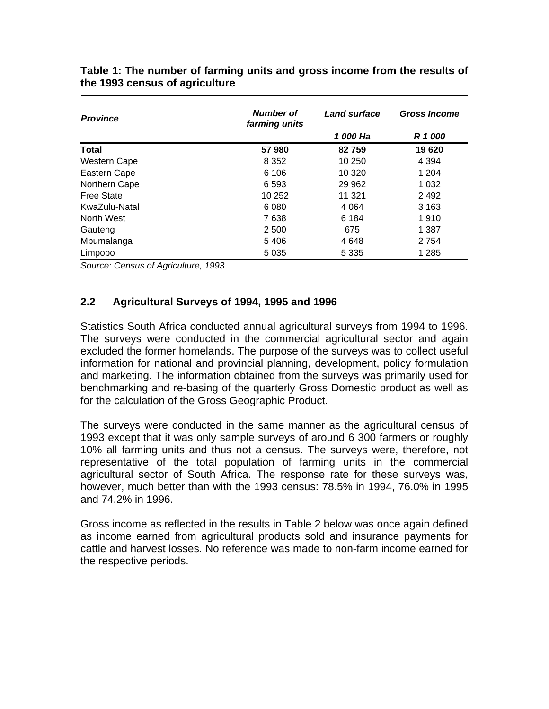| <b>Province</b>     | Number of<br>farming units | <b>Land surface</b> | <b>Gross Income</b> |  |  |
|---------------------|----------------------------|---------------------|---------------------|--|--|
|                     |                            | 1 000 Ha            | R 1 000             |  |  |
| <b>Total</b>        | 57980                      | 82759               | 19 620              |  |  |
| <b>Western Cape</b> | 8 3 5 2                    | 10 250              | 4 3 9 4             |  |  |
| Eastern Cape        | 6 10 6                     | 10 320              | 1 204               |  |  |
| Northern Cape       | 6 5 9 3                    | 29 9 62             | 1 0 3 2             |  |  |
| <b>Free State</b>   | 10 252                     | 11 321              | 2 4 9 2             |  |  |
| KwaZulu-Natal       | 6080                       | 4 0 64              | 3 1 6 3             |  |  |
| North West          | 7638                       | 6 1 8 4             | 1910                |  |  |
| Gauteng             | 2 500                      | 675                 | 1 387               |  |  |
| Mpumalanga          | 5406                       | 4648                | 2 7 5 4             |  |  |
| Limpopo             | 5 0 3 5                    | 5 3 3 5             | 1 285               |  |  |

**Table 1: The number of farming units and gross income from the results of the 1993 census of agriculture** 

*Source: Census of Agriculture, 1993* 

## **2.2 Agricultural Surveys of 1994, 1995 and 1996**

Statistics South Africa conducted annual agricultural surveys from 1994 to 1996. The surveys were conducted in the commercial agricultural sector and again excluded the former homelands. The purpose of the surveys was to collect useful information for national and provincial planning, development, policy formulation and marketing. The information obtained from the surveys was primarily used for benchmarking and re-basing of the quarterly Gross Domestic product as well as for the calculation of the Gross Geographic Product.

The surveys were conducted in the same manner as the agricultural census of 1993 except that it was only sample surveys of around 6 300 farmers or roughly 10% all farming units and thus not a census. The surveys were, therefore, not representative of the total population of farming units in the commercial agricultural sector of South Africa. The response rate for these surveys was, however, much better than with the 1993 census: 78.5% in 1994, 76.0% in 1995 and 74.2% in 1996.

Gross income as reflected in the results in Table 2 below was once again defined as income earned from agricultural products sold and insurance payments for cattle and harvest losses. No reference was made to non-farm income earned for the respective periods.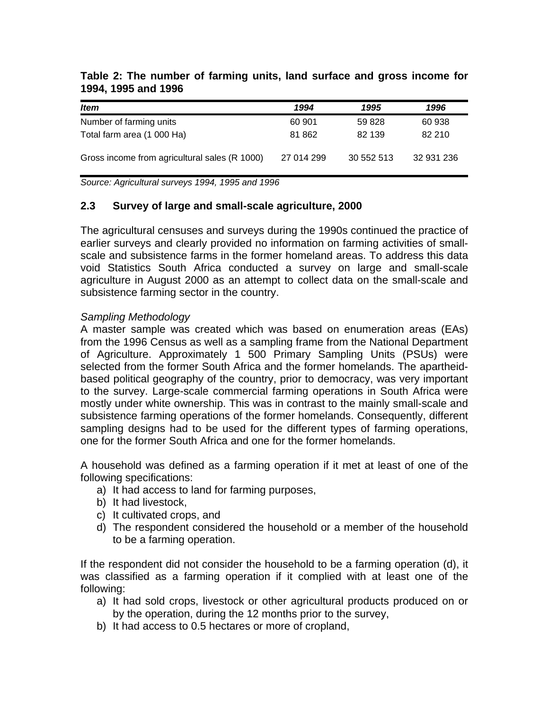| <b>Item</b>                                   | 1994       | 1995       | 1996       |
|-----------------------------------------------|------------|------------|------------|
| Number of farming units                       | 60 901     | 59 828     | 60 938     |
| Total farm area (1 000 Ha)                    | 81 862     | 82 139     | 82 210     |
| Gross income from agricultural sales (R 1000) | 27 014 299 | 30 552 513 | 32 931 236 |

### **Table 2: The number of farming units, land surface and gross income for 1994, 1995 and 1996**

*Source: Agricultural surveys 1994, 1995 and 1996* 

## **2.3 Survey of large and small-scale agriculture, 2000**

The agricultural censuses and surveys during the 1990s continued the practice of earlier surveys and clearly provided no information on farming activities of smallscale and subsistence farms in the former homeland areas. To address this data void Statistics South Africa conducted a survey on large and small-scale agriculture in August 2000 as an attempt to collect data on the small-scale and subsistence farming sector in the country.

## *Sampling Methodology*

A master sample was created which was based on enumeration areas (EAs) from the 1996 Census as well as a sampling frame from the National Department of Agriculture. Approximately 1 500 Primary Sampling Units (PSUs) were selected from the former South Africa and the former homelands. The apartheidbased political geography of the country, prior to democracy, was very important to the survey. Large-scale commercial farming operations in South Africa were mostly under white ownership. This was in contrast to the mainly small-scale and subsistence farming operations of the former homelands. Consequently, different sampling designs had to be used for the different types of farming operations, one for the former South Africa and one for the former homelands.

A household was defined as a farming operation if it met at least of one of the following specifications:

- a) It had access to land for farming purposes,
- b) It had livestock,
- c) It cultivated crops, and
- d) The respondent considered the household or a member of the household to be a farming operation.

If the respondent did not consider the household to be a farming operation (d), it was classified as a farming operation if it complied with at least one of the following:

- a) It had sold crops, livestock or other agricultural products produced on or by the operation, during the 12 months prior to the survey,
- b) It had access to 0.5 hectares or more of cropland,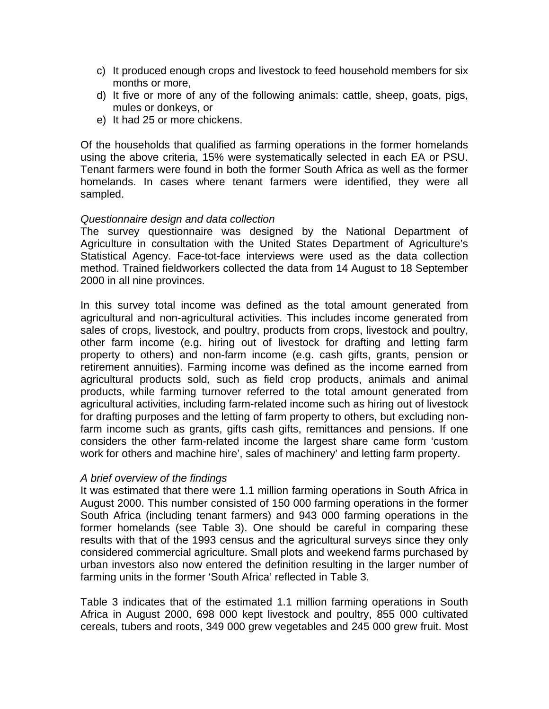- c) It produced enough crops and livestock to feed household members for six months or more,
- d) It five or more of any of the following animals: cattle, sheep, goats, pigs, mules or donkeys, or
- e) It had 25 or more chickens.

Of the households that qualified as farming operations in the former homelands using the above criteria, 15% were systematically selected in each EA or PSU. Tenant farmers were found in both the former South Africa as well as the former homelands. In cases where tenant farmers were identified, they were all sampled.

### *Questionnaire design and data collection*

The survey questionnaire was designed by the National Department of Agriculture in consultation with the United States Department of Agriculture's Statistical Agency. Face-tot-face interviews were used as the data collection method. Trained fieldworkers collected the data from 14 August to 18 September 2000 in all nine provinces.

In this survey total income was defined as the total amount generated from agricultural and non-agricultural activities. This includes income generated from sales of crops, livestock, and poultry, products from crops, livestock and poultry, other farm income (e.g. hiring out of livestock for drafting and letting farm property to others) and non-farm income (e.g. cash gifts, grants, pension or retirement annuities). Farming income was defined as the income earned from agricultural products sold, such as field crop products, animals and animal products, while farming turnover referred to the total amount generated from agricultural activities, including farm-related income such as hiring out of livestock for drafting purposes and the letting of farm property to others, but excluding nonfarm income such as grants, gifts cash gifts, remittances and pensions. If one considers the other farm-related income the largest share came form 'custom work for others and machine hire', sales of machinery' and letting farm property.

#### *A brief overview of the findings*

It was estimated that there were 1.1 million farming operations in South Africa in August 2000. This number consisted of 150 000 farming operations in the former South Africa (including tenant farmers) and 943 000 farming operations in the former homelands (see Table 3). One should be careful in comparing these results with that of the 1993 census and the agricultural surveys since they only considered commercial agriculture. Small plots and weekend farms purchased by urban investors also now entered the definition resulting in the larger number of farming units in the former 'South Africa' reflected in Table 3.

Table 3 indicates that of the estimated 1.1 million farming operations in South Africa in August 2000, 698 000 kept livestock and poultry, 855 000 cultivated cereals, tubers and roots, 349 000 grew vegetables and 245 000 grew fruit. Most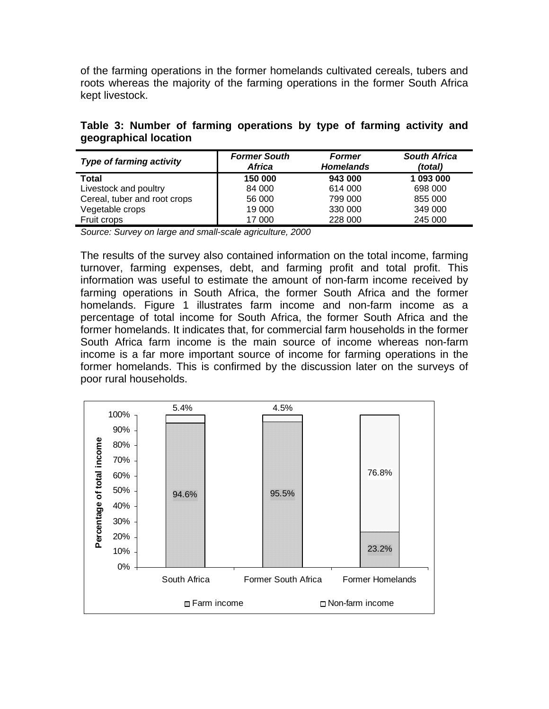of the farming operations in the former homelands cultivated cereals, tubers and roots whereas the majority of the farming operations in the former South Africa kept livestock.

|  |                       |  | Table 3: Number of farming operations by type of farming activity and |  |  |  |
|--|-----------------------|--|-----------------------------------------------------------------------|--|--|--|
|  | geographical location |  |                                                                       |  |  |  |

| <b>Type of farming activity</b> | <b>Former South</b><br>Africa | <b>Former</b><br><b>Homelands</b> | <b>South Africa</b><br>(total) |  |  |
|---------------------------------|-------------------------------|-----------------------------------|--------------------------------|--|--|
| Total                           | 150 000                       | 943 000                           | 1 093 000                      |  |  |
| Livestock and poultry           | 84 000                        | 614 000                           | 698 000                        |  |  |
| Cereal, tuber and root crops    | 56 000                        | 799 000                           | 855 000                        |  |  |
| Vegetable crops                 | 19 000                        | 330 000                           | 349 000                        |  |  |
| Fruit crops                     | 17 000                        | 228 000                           | 245 000                        |  |  |

*Source: Survey on large and small-scale agriculture, 2000* 

The results of the survey also contained information on the total income, farming turnover, farming expenses, debt, and farming profit and total profit. This information was useful to estimate the amount of non-farm income received by farming operations in South Africa, the former South Africa and the former homelands. Figure 1 illustrates farm income and non-farm income as a percentage of total income for South Africa, the former South Africa and the former homelands. It indicates that, for commercial farm households in the former South Africa farm income is the main source of income whereas non-farm income is a far more important source of income for farming operations in the former homelands. This is confirmed by the discussion later on the surveys of poor rural households.

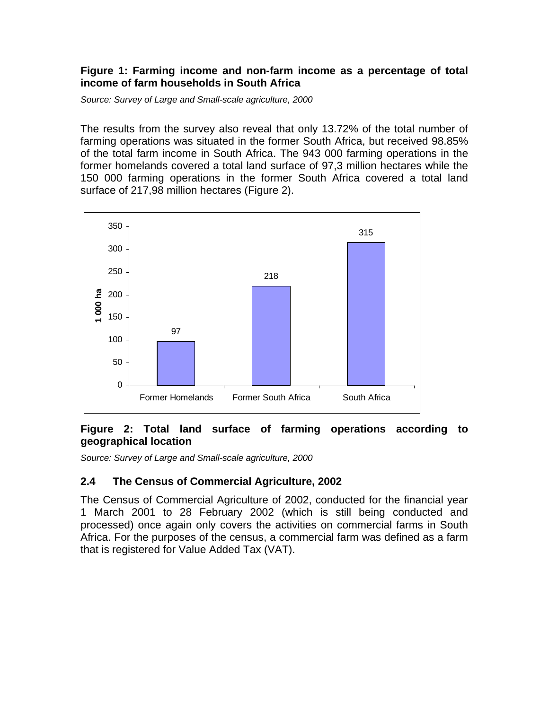## **Figure 1: Farming income and non-farm income as a percentage of total income of farm households in South Africa**

*Source: Survey of Large and Small-scale agriculture, 2000* 

The results from the survey also reveal that only 13.72% of the total number of farming operations was situated in the former South Africa, but received 98.85% of the total farm income in South Africa. The 943 000 farming operations in the former homelands covered a total land surface of 97,3 million hectares while the 150 000 farming operations in the former South Africa covered a total land surface of 217,98 million hectares (Figure 2).



# **Figure 2: Total land surface of farming operations according to geographical location**

*Source: Survey of Large and Small-scale agriculture, 2000* 

# **2.4 The Census of Commercial Agriculture, 2002**

The Census of Commercial Agriculture of 2002, conducted for the financial year 1 March 2001 to 28 February 2002 (which is still being conducted and processed) once again only covers the activities on commercial farms in South Africa. For the purposes of the census, a commercial farm was defined as a farm that is registered for Value Added Tax (VAT).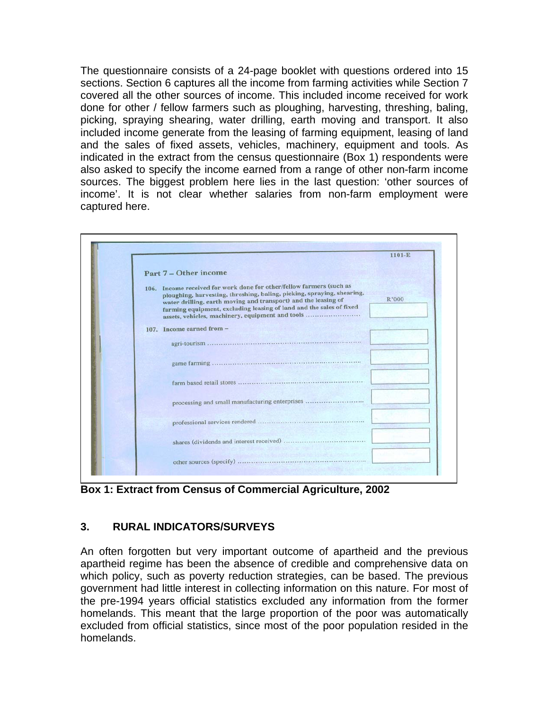The questionnaire consists of a 24-page booklet with questions ordered into 15 sections. Section 6 captures all the income from farming activities while Section 7 covered all the other sources of income. This included income received for work done for other / fellow farmers such as ploughing, harvesting, threshing, baling, picking, spraying shearing, water drilling, earth moving and transport. It also included income generate from the leasing of farming equipment, leasing of land and the sales of fixed assets, vehicles, machinery, equipment and tools. As indicated in the extract from the census questionnaire (Box 1) respondents were also asked to specify the income earned from a range of other non-farm income sources. The biggest problem here lies in the last question: 'other sources of income'. It is not clear whether salaries from non-farm employment were captured here.



**Box 1: Extract from Census of Commercial Agriculture, 2002** 

# **3. RURAL INDICATORS/SURVEYS**

An often forgotten but very important outcome of apartheid and the previous apartheid regime has been the absence of credible and comprehensive data on which policy, such as poverty reduction strategies, can be based. The previous government had little interest in collecting information on this nature. For most of the pre-1994 years official statistics excluded any information from the former homelands. This meant that the large proportion of the poor was automatically excluded from official statistics, since most of the poor population resided in the homelands.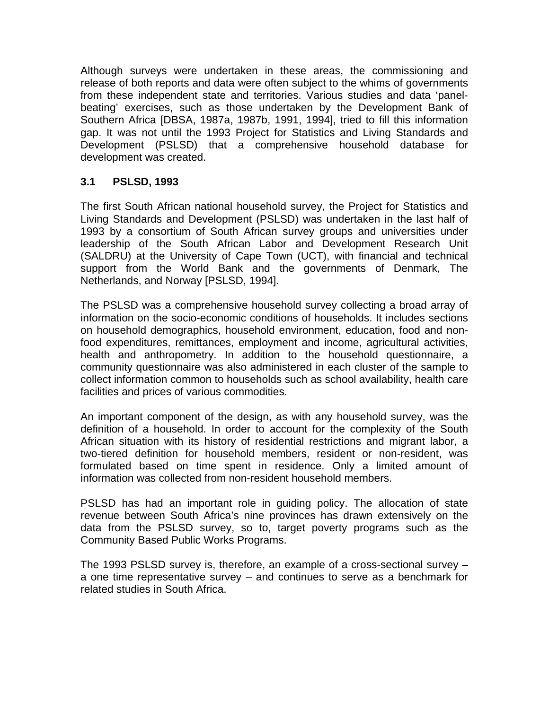Although surveys were undertaken in these areas, the commissioning and release of both reports and data were often subject to the whims of governments from these independent state and territories. Various studies and data 'panelbeating' exercises, such as those undertaken by the Development Bank of Southern Africa [DBSA, 1987a, 1987b, 1991, 1994], tried to fill this information gap. It was not until the 1993 Project for Statistics and Living Standards and Development (PSLSD) that a comprehensive household database for development was created.

# **3.1 PSLSD, 1993**

The first South African national household survey, the Project for Statistics and Living Standards and Development (PSLSD) was undertaken in the last half of 1993 by a consortium of South African survey groups and universities under leadership of the South African Labor and Development Research Unit (SALDRU) at the University of Cape Town (UCT), with financial and technical support from the World Bank and the governments of Denmark, The Netherlands, and Norway [PSLSD, 1994].

The PSLSD was a comprehensive household survey collecting a broad array of information on the socio-economic conditions of households. It includes sections on household demographics, household environment, education, food and nonfood expenditures, remittances, employment and income, agricultural activities, health and anthropometry. In addition to the household questionnaire, a community questionnaire was also administered in each cluster of the sample to collect information common to households such as school availability, health care facilities and prices of various commodities.

An important component of the design, as with any household survey, was the definition of a household. In order to account for the complexity of the South African situation with its history of residential restrictions and migrant labor, a two-tiered definition for household members, resident or non-resident, was formulated based on time spent in residence. Only a limited amount of information was collected from non-resident household members.

PSLSD has had an important role in guiding policy. The allocation of state revenue between South Africa's nine provinces has drawn extensively on the data from the PSLSD survey, so to, target poverty programs such as the Community Based Public Works Programs.

The 1993 PSLSD survey is, therefore, an example of a cross-sectional survey – a one time representative survey – and continues to serve as a benchmark for related studies in South Africa.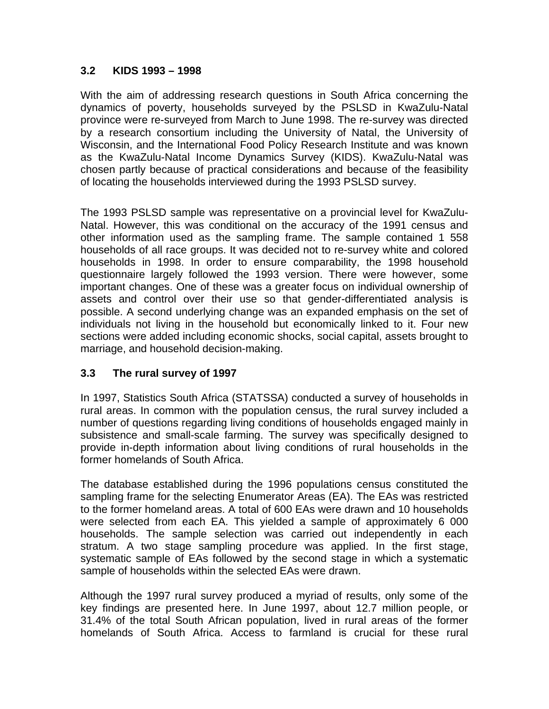# **3.2 KIDS 1993 – 1998**

With the aim of addressing research questions in South Africa concerning the dynamics of poverty, households surveyed by the PSLSD in KwaZulu-Natal province were re-surveyed from March to June 1998. The re-survey was directed by a research consortium including the University of Natal, the University of Wisconsin, and the International Food Policy Research Institute and was known as the KwaZulu-Natal Income Dynamics Survey (KIDS). KwaZulu-Natal was chosen partly because of practical considerations and because of the feasibility of locating the households interviewed during the 1993 PSLSD survey.

The 1993 PSLSD sample was representative on a provincial level for KwaZulu-Natal. However, this was conditional on the accuracy of the 1991 census and other information used as the sampling frame. The sample contained 1 558 households of all race groups. It was decided not to re-survey white and colored households in 1998. In order to ensure comparability, the 1998 household questionnaire largely followed the 1993 version. There were however, some important changes. One of these was a greater focus on individual ownership of assets and control over their use so that gender-differentiated analysis is possible. A second underlying change was an expanded emphasis on the set of individuals not living in the household but economically linked to it. Four new sections were added including economic shocks, social capital, assets brought to marriage, and household decision-making.

# **3.3 The rural survey of 1997**

In 1997, Statistics South Africa (STATSSA) conducted a survey of households in rural areas. In common with the population census, the rural survey included a number of questions regarding living conditions of households engaged mainly in subsistence and small-scale farming. The survey was specifically designed to provide in-depth information about living conditions of rural households in the former homelands of South Africa.

The database established during the 1996 populations census constituted the sampling frame for the selecting Enumerator Areas (EA). The EAs was restricted to the former homeland areas. A total of 600 EAs were drawn and 10 households were selected from each EA. This yielded a sample of approximately 6 000 households. The sample selection was carried out independently in each stratum. A two stage sampling procedure was applied. In the first stage, systematic sample of EAs followed by the second stage in which a systematic sample of households within the selected EAs were drawn.

Although the 1997 rural survey produced a myriad of results, only some of the key findings are presented here. In June 1997, about 12.7 million people, or 31.4% of the total South African population, lived in rural areas of the former homelands of South Africa. Access to farmland is crucial for these rural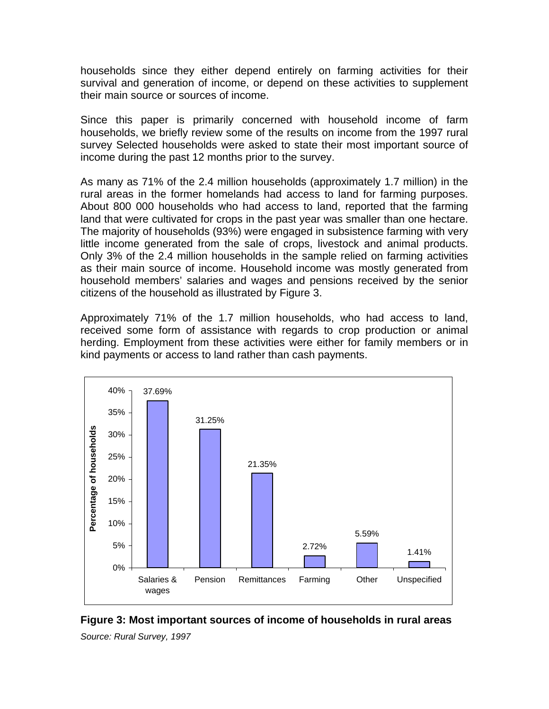households since they either depend entirely on farming activities for their survival and generation of income, or depend on these activities to supplement their main source or sources of income.

Since this paper is primarily concerned with household income of farm households, we briefly review some of the results on income from the 1997 rural survey Selected households were asked to state their most important source of income during the past 12 months prior to the survey.

As many as 71% of the 2.4 million households (approximately 1.7 million) in the rural areas in the former homelands had access to land for farming purposes. About 800 000 households who had access to land, reported that the farming land that were cultivated for crops in the past year was smaller than one hectare. The majority of households (93%) were engaged in subsistence farming with very little income generated from the sale of crops, livestock and animal products. Only 3% of the 2.4 million households in the sample relied on farming activities as their main source of income. Household income was mostly generated from household members' salaries and wages and pensions received by the senior citizens of the household as illustrated by Figure 3.

Approximately 71% of the 1.7 million households, who had access to land, received some form of assistance with regards to crop production or animal herding. Employment from these activities were either for family members or in kind payments or access to land rather than cash payments.



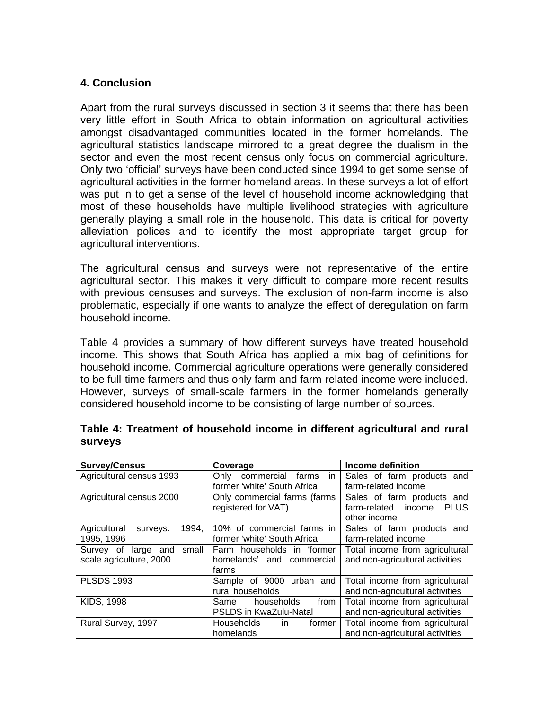# **4. Conclusion**

Apart from the rural surveys discussed in section 3 it seems that there has been very little effort in South Africa to obtain information on agricultural activities amongst disadvantaged communities located in the former homelands. The agricultural statistics landscape mirrored to a great degree the dualism in the sector and even the most recent census only focus on commercial agriculture. Only two 'official' surveys have been conducted since 1994 to get some sense of agricultural activities in the former homeland areas. In these surveys a lot of effort was put in to get a sense of the level of household income acknowledging that most of these households have multiple livelihood strategies with agriculture generally playing a small role in the household. This data is critical for poverty alleviation polices and to identify the most appropriate target group for agricultural interventions.

The agricultural census and surveys were not representative of the entire agricultural sector. This makes it very difficult to compare more recent results with previous censuses and surveys. The exclusion of non-farm income is also problematic, especially if one wants to analyze the effect of deregulation on farm household income.

Table 4 provides a summary of how different surveys have treated household income. This shows that South Africa has applied a mix bag of definitions for household income. Commercial agriculture operations were generally considered to be full-time farmers and thus only farm and farm-related income were included. However, surveys of small-scale farmers in the former homelands generally considered household income to be consisting of large number of sources.

| <b>Survey/Census</b>              | Coverage                                                     | Income definition                  |  |  |  |
|-----------------------------------|--------------------------------------------------------------|------------------------------------|--|--|--|
| Agricultural census 1993          | Only commercial<br>farms<br>in.                              | Sales of farm products and         |  |  |  |
|                                   | former 'white' South Africa                                  | farm-related income                |  |  |  |
| Agricultural census 2000          | Only commercial farms (farms                                 | Sales of farm products and         |  |  |  |
|                                   | registered for VAT)                                          | farm-related income<br><b>PLUS</b> |  |  |  |
|                                   |                                                              | other income                       |  |  |  |
| Agricultural<br>1994,<br>surveys: | 10% of commercial farms in                                   | Sales of farm products and         |  |  |  |
| 1995, 1996                        | former 'white' South Africa                                  | farm-related income                |  |  |  |
| Survey of<br>small<br>large and   | Farm households in 'former                                   | Total income from agricultural     |  |  |  |
| scale agriculture, 2000           | homelands' and commercial                                    | and non-agricultural activities    |  |  |  |
|                                   | farms                                                        |                                    |  |  |  |
| <b>PLSDS 1993</b>                 | Sample of 9000 urban and                                     | Total income from agricultural     |  |  |  |
|                                   | rural households                                             | and non-agricultural activities    |  |  |  |
| <b>KIDS, 1998</b>                 | Total income from agricultural<br>from<br>households<br>Same |                                    |  |  |  |
|                                   | <b>PSLDS in KwaZulu-Natal</b>                                | and non-agricultural activities    |  |  |  |
| Rural Survey, 1997                | <b>Households</b><br>in.<br>former                           | Total income from agricultural     |  |  |  |
|                                   | homelands                                                    | and non-agricultural activities    |  |  |  |

|                |  |  |  | Table 4: Treatment of household income in different agricultural and rural |  |
|----------------|--|--|--|----------------------------------------------------------------------------|--|
| <b>SUIVEVS</b> |  |  |  |                                                                            |  |